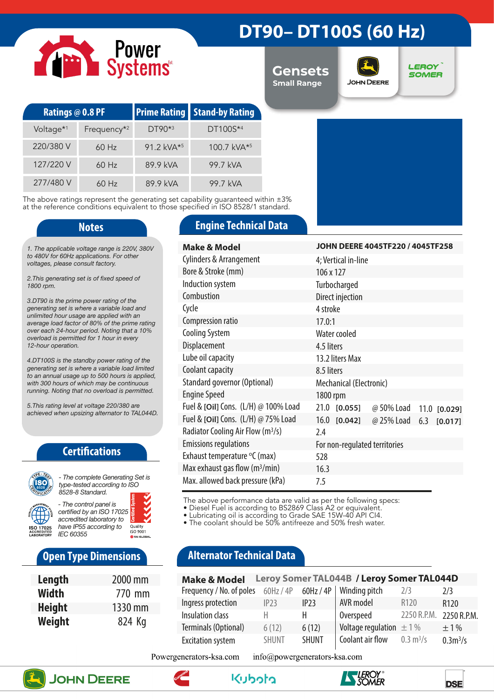# Power<br>Systems

# **DT90– DT100S (60 Hz)**

**Gensets Small Range**



**LEROY SOMER** 

| <b>Ratings @ 0.8 PF</b> |                         |                           | <b>Prime Rating Stand-by Rating</b> |  |
|-------------------------|-------------------------|---------------------------|-------------------------------------|--|
| Voltage <sup>*1</sup>   | Frequency <sup>*2</sup> | $DT90**3$                 | DT100S*4                            |  |
| 220/380 V               | $60$ Hz                 | 91.2 kVA $*$ <sup>5</sup> | 100.7 kVA*5                         |  |
| 127/220 V               | $60$ Hz                 | 89.9 kVA                  | 99.7 kVA                            |  |
| 277/480 V               | $60$ Hz                 | 89.9 kVA                  | 99.7 kVA                            |  |

The above ratings represent the generating set capability guaranteed within ±3% at the reference conditions equivalent to those specified in ISO 8528/1 standard.

*1. The applicable voltage range is 220V, 380V to 480V for 60Hz applications. For other voltages, please consult factory.* 

*2.This generating set is of fixed speed of 1800 rpm.*

*3.DT90 is the prime power rating of the generating set is where a variable load and unlimited hour usage are applied with an average load factor of 80% of the prime rating over each 24-hour period. Noting that a 10% overload is permitted for 1 hour in every 12-hour operation.*

*4.DT100S is the standby power rating of the generating set is where a variable load limited to an annual usage up to 500 hours is applied, with 300 hours of which may be continuous running. Noting that no overload is permitted.*

*5.This rating level at voltage 220/380 are achieved when upsizing alternator to TAL044D.*

### **Certifications**



*type-tested according to ISO 8528-8 Standard. - The control panel is certified by an ISO 17025* 



## **Open Type Dimensions**

| Length        | 2000 mm |
|---------------|---------|
| Width         | 770 mm  |
| <b>Height</b> | 1330 mm |
| Weight        | 824 Kg  |

### **Notes Engine Technical Data**

| Make & Model                                  | JOHN DEERE 4045TF220 / 4045TF258               |
|-----------------------------------------------|------------------------------------------------|
| Cylinders & Arrangement                       | 4; Vertical in-line                            |
| Bore & Stroke (mm)                            | 106 x 127                                      |
| Induction system                              | Turbocharged                                   |
| Combustion                                    | Direct injection                               |
| Cycle                                         | 4 stroke                                       |
| Compression ratio                             | 17.0:1                                         |
| <b>Cooling System</b>                         | Water cooled                                   |
| Displacement                                  | 4.5 liters                                     |
| Lube oil capacity                             | 13.2 liters Max                                |
| Coolant capacity                              | 8.5 liters                                     |
| Standard governor (Optional)                  | Mechanical (Electronic)                        |
| <b>Engine Speed</b>                           | 1800 rpm                                       |
| Fuel & [Oil] Cons. (L/H) @ 100% Load          | 21.0<br>[0.055]<br>@ 50% Load<br>11.0 [0.029]  |
| Fuel & [Oil] Cons. (L/H) @ 75% Load           | $16.0$ [0.042]<br>@ 25% Load<br>6.3<br>[0.017] |
| Radiator Cooling Air Flow (m <sup>3</sup> /s) | 2.4                                            |
| <b>Emissions regulations</b>                  | For non-regulated territories                  |
| Exhaust temperature °C (max)                  | 528                                            |
| Max exhaust gas flow $(m^3/min)$              | 16.3                                           |
| Max. allowed back pressure (kPa)              | 7.5                                            |

The above performance data are valid as per the following specs:

• Diesel Fuel is according to BS2869 Class A2 or equivalent.

• Lubricating oil is according to Grade SAE 15W-40 API CI4.

• The coolant should be 50% antifreeze and 50% fresh water.

## **Alternator Technical Data**

| <b>Make &amp; Model</b>  |              |              | Leroy Somer TAL044B / Leroy Somer TAL044D |                            |                     |
|--------------------------|--------------|--------------|-------------------------------------------|----------------------------|---------------------|
| Frequency / No. of poles | $60$ Hz / 4P | $60$ Hz / 4P | Winding pitch                             | 2/3                        | 2/3                 |
| Ingress protection       | IP23         | IP23         | AVR model                                 | R <sub>120</sub>           | R <sub>120</sub>    |
| Insulation class         | н            |              | Overspeed                                 | 2250 R.P.M.                | 2250 R.P.M.         |
| Terminals (Optional)     | 6(12)        | 6(12)        | Voltage regulation $\pm$ 1%               |                            | $+1\%$              |
| <b>Excitation system</b> | <b>SHUNT</b> | <b>SHUNT</b> | Coolant air flow                          | $0.3 \text{ m}^3/\text{s}$ | 0.3 <sup>3</sup> /s |

Powergenerators-ksa.com info@powergenerators-ksa.com











**DSE**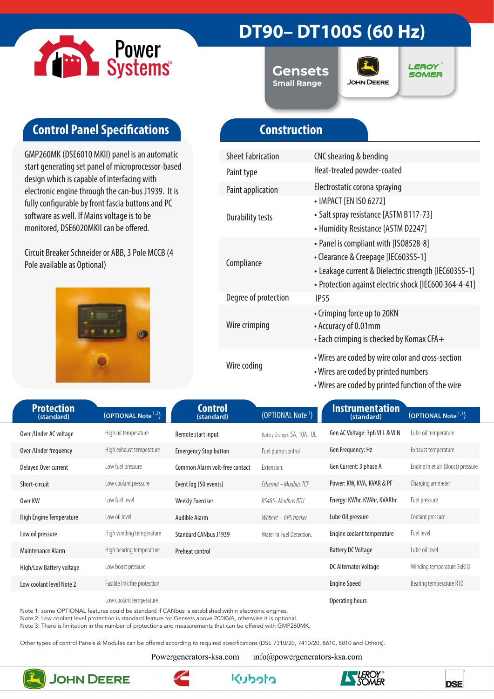

# **DT90– DT100S (60 Hz)**

**Gensets Small Range**



**LEROY SOMER** 

# **Control Panel Specifications**

GMP260MK (DSE6010 MKII) panel is an automatic start generating set panel of microprocessor-based design which is capable of interfacing with electronic engine through the can-bus J1939. It is fully configurable by front fascia buttons and PC software as well. If Mains voltage is to be monitored, DSE6020MKII can be offered.

Circuit Breaker Schneider or ABB, 3 Pole MCCB (4 Pole available as Optional)



# **Construction**

| <b>Sheet Fabrication</b> | CNC shearing & bending                                                                                                                                                                        |
|--------------------------|-----------------------------------------------------------------------------------------------------------------------------------------------------------------------------------------------|
| Paint type               | Heat-treated powder-coated                                                                                                                                                                    |
| <b>Paint application</b> | Electrostatic corona spraying                                                                                                                                                                 |
| <b>Durability tests</b>  | • IMPACT [EN ISO 6272]<br>• Salt spray resistance [ASTM B117-73]<br>• Humidity Resistance [ASTM D2247]                                                                                        |
| Compliance               | • Panel is compliant with [ISO8528-8]<br>• Clearance & Creepage [IEC60355-1]<br>• Leakage current & Dielectric strength [IEC60355-1]<br>• Protection against electric shock [IEC600 364-4-41] |
| Degree of protection     | IP <sub>55</sub>                                                                                                                                                                              |
| Wire crimping            | • Crimping force up to 20KN<br>• Accuracy of 0.01mm<br>$\bullet$ Each crimping is checked by Komax CFA $+$                                                                                    |
| Wire coding              | • Wires are coded by wire color and cross-section<br>• Wires are coded by printed numbers<br>• Wires are coded by printed function of the wire                                                |

| <b>Protection</b><br>(standard) | (OPTIONAL Note <sup>1,3</sup> ) | <b>Control</b><br>(standard)   | (OPTIONAL Note <sup>1</sup> ) | <b>Instrumentation</b><br>(standard) | (OPTIONAL Note <sup>1,3</sup> )   |
|---------------------------------|---------------------------------|--------------------------------|-------------------------------|--------------------------------------|-----------------------------------|
| Over/Under AC voltage           | High oil temperature            | Remote start input             | Battery Changer: 5A, 10A, UL  | Gen AC Voltage: 3ph VLL & VLN        | Lube oil temperature              |
| Over / Under frequency          | High exhaust temperature        | <b>Emergency Stop button</b>   | Fuel pump control             | Gen Frequency: Hz                    | Exhaust temperature               |
| Delayed Over current            | Low fuel pressure               | Common Alarm volt-free contact | Extension:                    | Gen Current: 3 phase A               | Engine Inlet air (Boost) pressure |
| Short-circuit                   | Low coolant pressure            | Event log (50 events)          | Ethernet - Modbus TCP         | Power: KW, KVA, KVAR & PF            | Charging ammeter                  |
| Over KW                         | Low fuel level                  | <b>Weekly Exerciser</b>        | RS485- Modbus RTU             | Energy: KWhr, KVAhr, KVARhr          | Fuel pressure                     |
| High Engine Temperature         | Low oil level                   | Audible Alarm                  | Webnet – GPS tracker          | Lube Oil pressure                    | Coolant pressure                  |
| Low oil pressure                | High winding temperature        | <b>Standard CANbus J1939</b>   | Water in Fuel Detection.      | Engine coolant temperature           | Fuel level                        |
| Maintenance Alarm               | High bearing temperature        | Preheat control                |                               | <b>Battery DC Voltage</b>            | Lube oil level                    |
| High/Low Battery voltage        | Low boost pressure              |                                |                               | DC Alternator Voltage                | Winding temperature 3xRTD         |
| Low coolant level Note 2        | Fusible link fire protection    |                                |                               | <b>Engine Speed</b>                  | Bearing temperature RTD           |
|                                 | Low coolant temperature         |                                |                               | Operating hours                      |                                   |

Note 1: some OPTIONAL features could be standard if CANbus is established within electronic engines.

Note 2: Low coolant level protection is standard feature for Gensets above 200KVA, otherwise it is optional.

Note 3: There is limitation in the number of protections and measurements that can be offered with GMP260MK.

Other types of control Panels & Modules can be offered according to required specifications (DSE 7310/20, 7410/20, 8610, 8810 and Others).

Powergenerators-ksa.com

info@powergenerators-ksa.com



**JOHN DEERE**